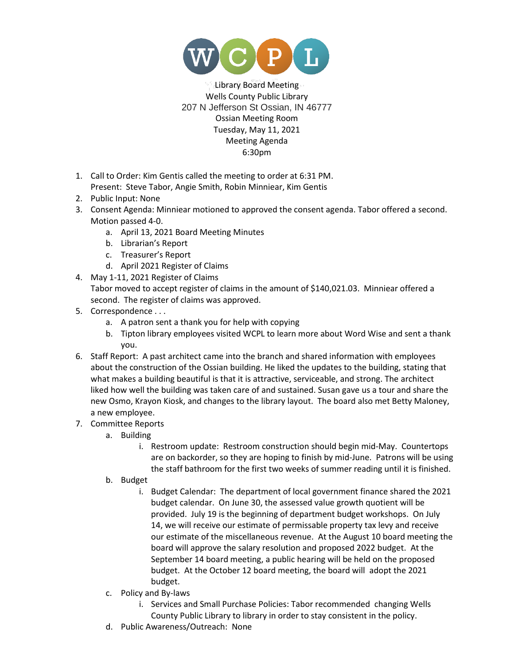

Library Board Meeting Wells County Public Library 207 N Jefferson St Ossian, IN 46777 Ossian Meeting Room Tuesday, May 11, 2021 Meeting Agenda 6:30pm

- 1. Call to Order: Kim Gentis called the meeting to order at 6:31 PM. Present: Steve Tabor, Angie Smith, Robin Minniear, Kim Gentis
- 2. Public Input: None
- 3. Consent Agenda: Minniear motioned to approved the consent agenda. Tabor offered a second. Motion passed 4-0.
	- a. April 13, 2021 Board Meeting Minutes
	- b. Librarian's Report
	- c. Treasurer's Report
	- d. April 2021 Register of Claims
- 4. May 1-11, 2021 Register of Claims
	- Tabor moved to accept register of claims in the amount of \$140,021.03. Minniear offered a second. The register of claims was approved.
- 5. Correspondence . . .
	- a. A patron sent a thank you for help with copying
	- b. Tipton library employees visited WCPL to learn more about Word Wise and sent a thank you.
- 6. Staff Report: A past architect came into the branch and shared information with employees about the construction of the Ossian building. He liked the updates to the building, stating that what makes a building beautiful is that it is attractive, serviceable, and strong. The architect liked how well the building was taken care of and sustained. Susan gave us a tour and share the new Osmo, Krayon Kiosk, and changes to the library layout. The board also met Betty Maloney, a new employee.
- 7. Committee Reports
	- a. Building
		- i. Restroom update: Restroom construction should begin mid-May. Countertops are on backorder, so they are hoping to finish by mid-June. Patrons will be using the staff bathroom for the first two weeks of summer reading until it is finished.
	- b. Budget
		- i. Budget Calendar: The department of local government finance shared the 2021 budget calendar. On June 30, the assessed value growth quotient will be provided. July 19 is the beginning of department budget workshops. On July 14, we will receive our estimate of permissable property tax levy and receive our estimate of the miscellaneous revenue. At the August 10 board meeting the board will approve the salary resolution and proposed 2022 budget. At the September 14 board meeting, a public hearing will be held on the proposed budget. At the October 12 board meeting, the board will adopt the 2021 budget.
	- c. Policy and By-laws
		- i. Services and Small Purchase Policies: Tabor recommended changing Wells County Public Library to library in order to stay consistent in the policy.
	- d. Public Awareness/Outreach: None